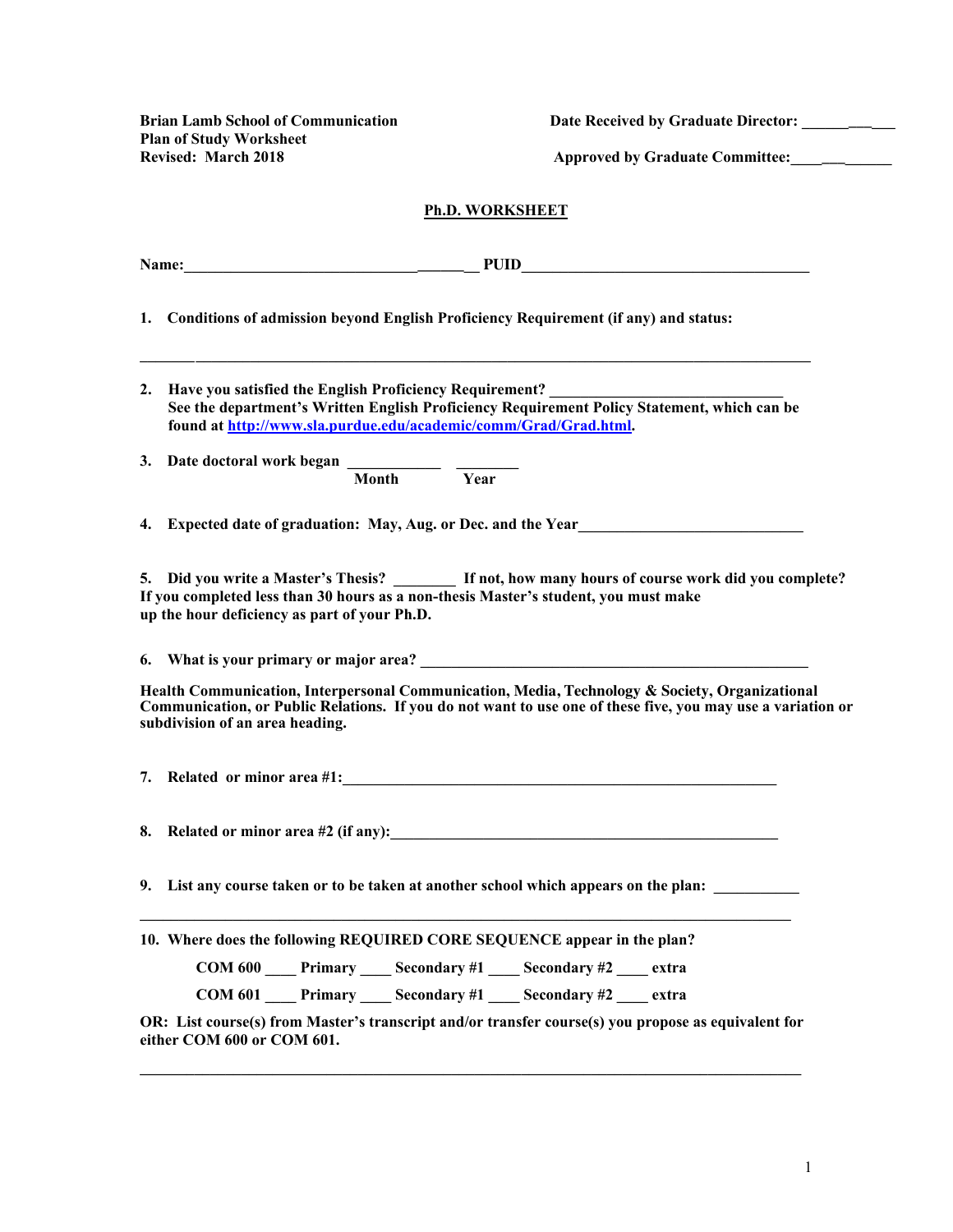**Brian Lamb School of Communication Date Received by Graduate Director: \_\_\_\_\_\_\_\_\_\_\_\_ Plan of Study Worksheet Revised: March 2018 Approved by Graduate Committee:\_\_\_\_\_\_\_\_\_\_\_\_\_** 

### **Ph.D. WORKSHEET**

**Name:\_\_\_\_\_\_\_\_\_\_\_\_\_\_\_\_\_\_\_\_\_\_\_\_\_\_\_\_\_\_\_\_\_\_\_\_\_\_ PUID\_\_\_\_\_\_\_\_\_\_\_\_\_\_\_\_\_\_\_\_\_\_\_\_\_\_\_\_\_\_\_\_\_\_\_\_\_** 

**1. Conditions of admission beyond English Proficiency Requirement (if any) and status:**

- 2. **Have you satisfied the English Proficiency Requirement? See the department's Written English Proficiency Requirement Policy Statement, which can be found at http://www.sla.purdue.edu/academic/comm/Grad/Grad.html.**
- **3.** Date doctoral work began  $\frac{1}{\text{Month}}$   $\frac{1}{\text{Year}}$ **Month**

**4. Expected date of graduation: May, Aug. or Dec. and the Year\_\_\_\_\_\_\_\_\_\_\_\_\_\_\_\_\_\_\_\_\_\_\_\_\_\_\_\_\_**

**5. Did you write a Master's Thesis? \_\_\_\_\_\_\_\_ If not, how many hours of course work did you complete? If you completed less than 30 hours as a non-thesis Master's student, you must make up the hour deficiency as part of your Ph.D.**

**6. What is your primary or major area? \_\_\_\_\_\_\_\_\_\_\_\_\_\_\_\_\_\_\_\_\_\_\_\_\_\_\_\_\_\_\_\_\_\_\_\_\_\_\_\_\_\_\_\_\_\_\_\_\_\_**

**Health Communication, Interpersonal Communication, Media, Technology & Society, Organizational Communication, or Public Relations. If you do not want to use one of these five, you may use a variation or subdivision of an area heading.**

**7. Related or minor area #1:** *Related or minor area #1:**All and all and all and all and all and all and all and all and all and all and all and all and all and all and all and all and all and all and all and all and* 

**8. Related or minor area #2 (if any):** 

**\_\_\_\_\_\_\_\_\_\_\_\_\_\_\_\_\_\_\_\_\_\_\_\_\_\_\_\_\_\_\_\_\_\_\_\_\_\_\_\_\_\_\_\_\_\_\_\_\_\_\_\_\_\_\_\_\_\_\_\_\_\_\_\_\_\_\_\_\_\_\_\_\_\_\_\_\_\_\_\_\_\_\_\_**

**9. List any course taken or to be taken at another school which appears on the plan: \_\_\_\_\_\_\_\_\_\_\_**

|  |  | 10. Where does the following REQUIRED CORE SEQUENCE appear in the plan? |
|--|--|-------------------------------------------------------------------------|
|--|--|-------------------------------------------------------------------------|

| <b>COM 600</b> | <b>Primary</b> | <b>Secondary #1</b> | Secondary #2 | extra |
|----------------|----------------|---------------------|--------------|-------|
|                |                |                     |              |       |

**OR: List course(s) from Master's transcript and/or transfer course(s) you propose as equivalent for either COM 600 or COM 601.** 

**\_\_\_\_\_\_\_\_\_\_\_\_\_\_\_\_\_\_\_\_\_\_\_\_\_\_\_\_\_\_\_\_\_\_\_\_\_\_\_\_\_\_\_\_\_\_\_\_\_\_\_\_\_\_\_\_\_\_\_\_\_\_\_\_\_\_\_\_\_\_\_\_\_\_\_\_\_\_\_\_\_\_\_\_\_**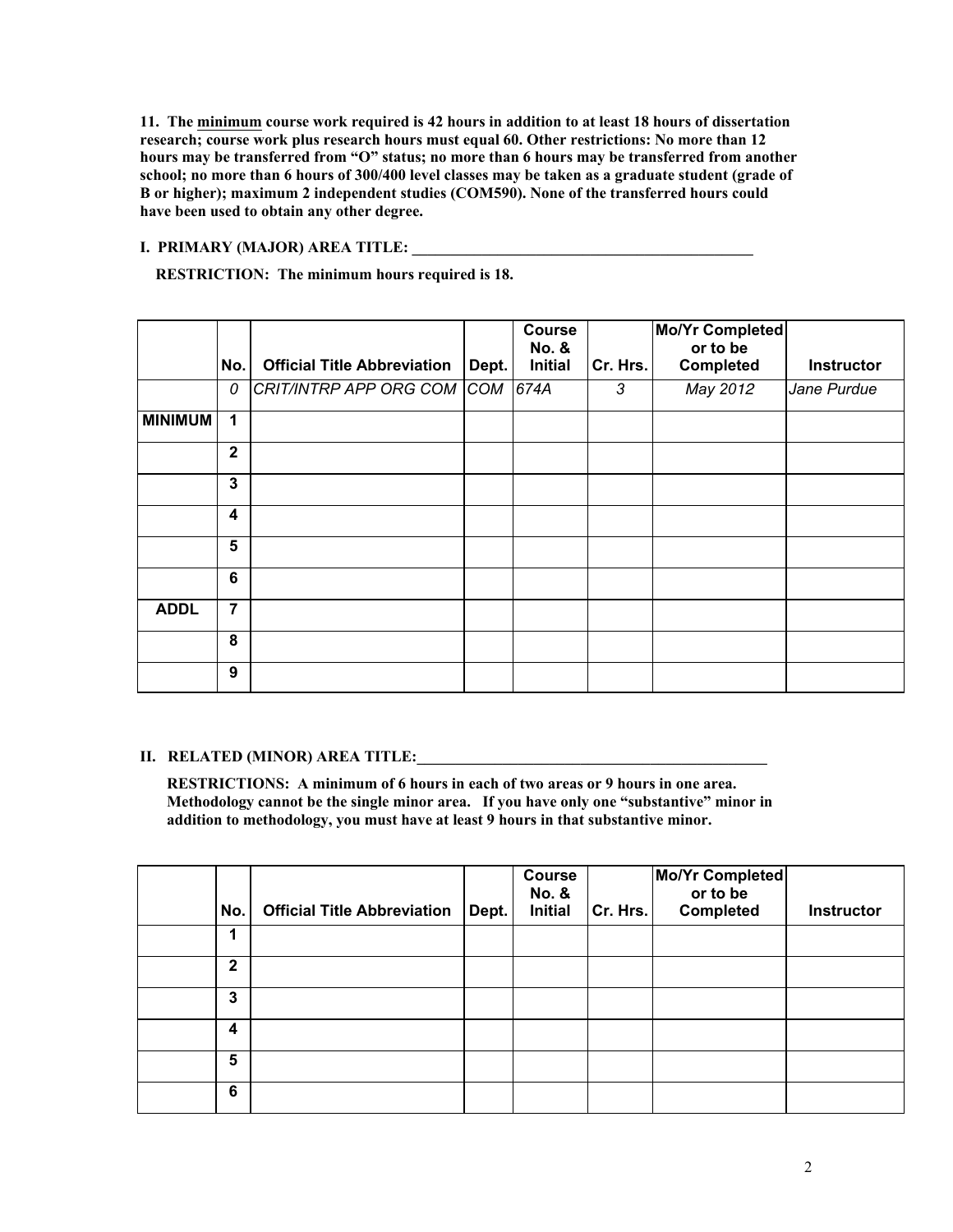**11. The minimum course work required is 42 hours in addition to at least 18 hours of dissertation research; course work plus research hours must equal 60. Other restrictions: No more than 12 hours may be transferred from "O" status; no more than 6 hours may be transferred from another school; no more than 6 hours of 300/400 level classes may be taken as a graduate student (grade of B or higher); maximum 2 independent studies (COM590). None of the transferred hours could have been used to obtain any other degree.**

## **I. PRIMARY (MAJOR) AREA TITLE:**

**RESTRICTION: The minimum hours required is 18.**

|                | No.              | <b>Official Title Abbreviation</b> | Dept. | Course<br>No. &<br><b>Initial</b> | Cr. Hrs. | <b>Mo/Yr Completed</b><br>or to be<br>Completed | Instructor  |
|----------------|------------------|------------------------------------|-------|-----------------------------------|----------|-------------------------------------------------|-------------|
|                | 0                | CRIT/INTRP APP ORG COM COM         |       | 674A                              | 3        | May 2012                                        | Jane Purdue |
| <b>MINIMUM</b> | 1                |                                    |       |                                   |          |                                                 |             |
|                | $\overline{2}$   |                                    |       |                                   |          |                                                 |             |
|                | 3                |                                    |       |                                   |          |                                                 |             |
|                | $\boldsymbol{4}$ |                                    |       |                                   |          |                                                 |             |
|                | 5                |                                    |       |                                   |          |                                                 |             |
|                | 6                |                                    |       |                                   |          |                                                 |             |
| <b>ADDL</b>    | $\overline{7}$   |                                    |       |                                   |          |                                                 |             |
|                | 8                |                                    |       |                                   |          |                                                 |             |
|                | 9                |                                    |       |                                   |          |                                                 |             |

#### **II. RELATED (MINOR) AREA TITLE:**

**RESTRICTIONS: A minimum of 6 hours in each of two areas or 9 hours in one area. Methodology cannot be the single minor area. If you have only one "substantive" minor in addition to methodology, you must have at least 9 hours in that substantive minor.**

| No.          | <b>Official Title Abbreviation</b> | Dept. | <b>Course</b><br><b>No. &amp;</b><br><b>Initial</b> | Cr. Hrs. | Mo/Yr Completed<br>or to be<br>Completed | Instructor |
|--------------|------------------------------------|-------|-----------------------------------------------------|----------|------------------------------------------|------------|
| 1            |                                    |       |                                                     |          |                                          |            |
| $\mathbf{2}$ |                                    |       |                                                     |          |                                          |            |
| 3            |                                    |       |                                                     |          |                                          |            |
| 4            |                                    |       |                                                     |          |                                          |            |
| 5            |                                    |       |                                                     |          |                                          |            |
| 6            |                                    |       |                                                     |          |                                          |            |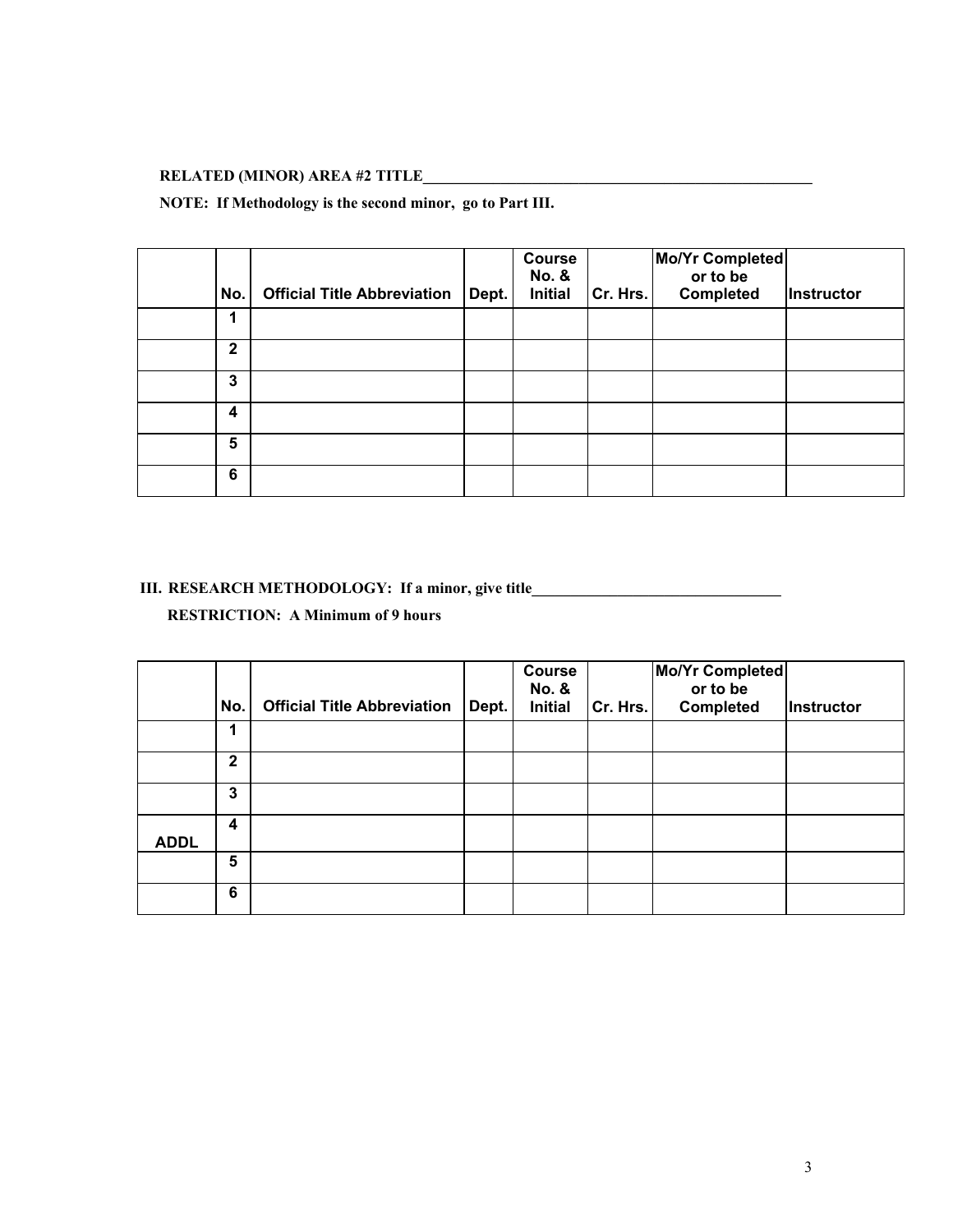# **RELATED (MINOR) AREA #2 TITLE\_\_\_\_\_\_\_\_\_\_\_\_\_\_\_\_\_\_\_\_\_\_\_\_\_\_\_\_\_\_\_\_\_\_\_\_\_\_\_\_\_\_\_\_\_\_\_\_\_\_**

## **NOTE: If Methodology is the second minor, go to Part III.**

| No.          | <b>Official Title Abbreviation</b> | Dept. | <b>Course</b><br><b>No. &amp;</b><br><b>Initial</b> | Cr. Hrs. | Mo/Yr Completed<br>or to be<br><b>Completed</b> | Instructor |
|--------------|------------------------------------|-------|-----------------------------------------------------|----------|-------------------------------------------------|------------|
| 1            |                                    |       |                                                     |          |                                                 |            |
| $\mathbf{2}$ |                                    |       |                                                     |          |                                                 |            |
| 3            |                                    |       |                                                     |          |                                                 |            |
| 4            |                                    |       |                                                     |          |                                                 |            |
| 5            |                                    |       |                                                     |          |                                                 |            |
| 6            |                                    |       |                                                     |          |                                                 |            |

## **III.** RESEARCH METHODOLOGY: If a minor, give title\_\_\_\_\_\_\_\_\_\_\_\_\_\_\_\_\_\_\_\_\_\_\_\_\_\_\_\_\_\_

**RESTRICTION: A Minimum of 9 hours**

|             | No.          | <b>Official Title Abbreviation</b> | Dept. | <b>Course</b><br><b>No. &amp;</b><br><b>Initial</b> | Cr. Hrs. | Mo/Yr Completed<br>or to be<br>Completed | Instructor |
|-------------|--------------|------------------------------------|-------|-----------------------------------------------------|----------|------------------------------------------|------------|
|             |              |                                    |       |                                                     |          |                                          |            |
|             | $\mathbf{2}$ |                                    |       |                                                     |          |                                          |            |
|             | 3            |                                    |       |                                                     |          |                                          |            |
| <b>ADDL</b> | 4            |                                    |       |                                                     |          |                                          |            |
|             | 5            |                                    |       |                                                     |          |                                          |            |
|             | 6            |                                    |       |                                                     |          |                                          |            |